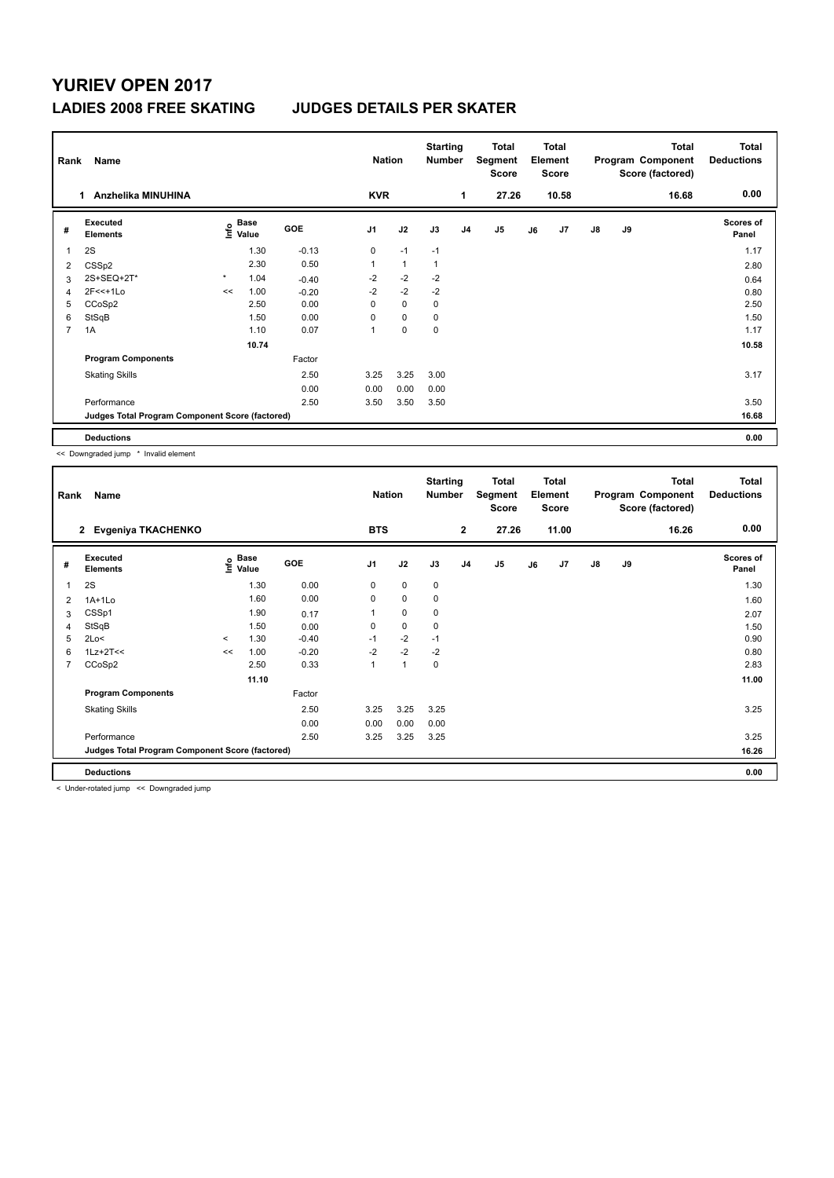## **YURIEV OPEN 2017 LADIES 2008 FREE SKATING JUDGES DETAILS PER SKATER**

| Name<br>Rank   |                                                 |         |                           |            |                | <b>Nation</b>  |                | <b>Starting</b><br><b>Number</b> | Total<br>Segment<br><b>Score</b> | Total<br>Element<br><b>Score</b> |                | <b>Total</b><br>Program Component<br>Score (factored) |    | <b>Total</b><br><b>Deductions</b> |                           |
|----------------|-------------------------------------------------|---------|---------------------------|------------|----------------|----------------|----------------|----------------------------------|----------------------------------|----------------------------------|----------------|-------------------------------------------------------|----|-----------------------------------|---------------------------|
|                | Anzhelika MINUHINA<br>1.                        |         |                           |            | <b>KVR</b>     |                |                | 1                                | 27.26                            |                                  | 10.58          |                                                       |    | 16.68                             | 0.00                      |
| #              | Executed<br><b>Elements</b>                     |         | Base<br>e Base<br>⊆ Value | <b>GOE</b> | J <sub>1</sub> | J2             | J3             | J <sub>4</sub>                   | J <sub>5</sub>                   | J6                               | J <sub>7</sub> | $\mathsf{J}8$                                         | J9 |                                   | <b>Scores of</b><br>Panel |
| 1              | 2S                                              |         | 1.30                      | $-0.13$    | 0              | $-1$           | $-1$           |                                  |                                  |                                  |                |                                                       |    |                                   | 1.17                      |
| 2              | CSS <sub>p2</sub>                               |         | 2.30                      | 0.50       | 1              | $\overline{1}$ | $\overline{1}$ |                                  |                                  |                                  |                |                                                       |    |                                   | 2.80                      |
| 3              | 2S+SEQ+2T*                                      | $\star$ | 1.04                      | $-0.40$    | $-2$           | $-2$           | $-2$           |                                  |                                  |                                  |                |                                                       |    |                                   | 0.64                      |
| 4              | $2F<<+1Lo$                                      | <<      | 1.00                      | $-0.20$    | $-2$           | $-2$           | $-2$           |                                  |                                  |                                  |                |                                                       |    |                                   | 0.80                      |
| 5              | CCoSp2                                          |         | 2.50                      | 0.00       | 0              | $\mathbf 0$    | 0              |                                  |                                  |                                  |                |                                                       |    |                                   | 2.50                      |
| 6              | StSqB                                           |         | 1.50                      | 0.00       | 0              | $\mathbf 0$    | 0              |                                  |                                  |                                  |                |                                                       |    |                                   | 1.50                      |
| $\overline{7}$ | 1A                                              |         | 1.10                      | 0.07       | 1              | $\mathbf 0$    | 0              |                                  |                                  |                                  |                |                                                       |    |                                   | 1.17                      |
|                |                                                 |         | 10.74                     |            |                |                |                |                                  |                                  |                                  |                |                                                       |    |                                   | 10.58                     |
|                | <b>Program Components</b>                       |         |                           | Factor     |                |                |                |                                  |                                  |                                  |                |                                                       |    |                                   |                           |
|                | <b>Skating Skills</b>                           |         |                           | 2.50       | 3.25           | 3.25           | 3.00           |                                  |                                  |                                  |                |                                                       |    |                                   | 3.17                      |
|                |                                                 |         |                           | 0.00       | 0.00           | 0.00           | 0.00           |                                  |                                  |                                  |                |                                                       |    |                                   |                           |
|                | Performance                                     |         |                           | 2.50       | 3.50           | 3.50           | 3.50           |                                  |                                  |                                  |                |                                                       |    |                                   | 3.50                      |
|                | Judges Total Program Component Score (factored) |         |                           |            |                |                |                |                                  |                                  |                                  |                |                                                       |    |                                   | 16.68                     |
|                | <b>Deductions</b>                               |         |                           |            |                |                |                |                                  |                                  |                                  |                |                                                       |    |                                   | 0.00                      |

<< Downgraded jump \* Invalid element

|                | Rank<br>Name                                    |         |                                  |         |                |                | <b>Starting</b><br><b>Number</b> |                | <b>Total</b><br>Segment<br><b>Score</b> | <b>Total</b><br>Element<br><b>Score</b> |       | Program Component<br>Score (factored) |    | <b>Total</b> | <b>Total</b><br><b>Deductions</b> |
|----------------|-------------------------------------------------|---------|----------------------------------|---------|----------------|----------------|----------------------------------|----------------|-----------------------------------------|-----------------------------------------|-------|---------------------------------------|----|--------------|-----------------------------------|
|                | Evgeniya TKACHENKO<br>$\mathbf{2}$              |         |                                  |         | <b>BTS</b>     |                |                                  | $\mathbf{2}$   | 27.26                                   |                                         | 11.00 |                                       |    | 16.26        | 0.00                              |
| #              | Executed<br><b>Elements</b>                     |         | <b>Base</b><br>e Base<br>E Value | GOE     | J <sub>1</sub> | J2             | J3                               | J <sub>4</sub> | J5                                      | J6                                      | J7    | $\mathsf{J}8$                         | J9 |              | <b>Scores of</b><br>Panel         |
| -1             | 2S                                              |         | 1.30                             | 0.00    | 0              | 0              | 0                                |                |                                         |                                         |       |                                       |    |              | 1.30                              |
| $\overline{2}$ | $1A+1Lo$                                        |         | 1.60                             | 0.00    | $\Omega$       | $\Omega$       | $\mathbf 0$                      |                |                                         |                                         |       |                                       |    |              | 1.60                              |
| 3              | CSSp1                                           |         | 1.90                             | 0.17    |                | $\mathbf 0$    | 0                                |                |                                         |                                         |       |                                       |    |              | 2.07                              |
| $\overline{4}$ | StSqB                                           |         | 1.50                             | 0.00    | 0              | $\mathbf 0$    | 0                                |                |                                         |                                         |       |                                       |    |              | 1.50                              |
| 5              | 2Lo<                                            | $\prec$ | 1.30                             | $-0.40$ | $-1$           | $-2$           | $-1$                             |                |                                         |                                         |       |                                       |    |              | 0.90                              |
| 6              | $1Lz+2T<<$                                      | <<      | 1.00                             | $-0.20$ | $-2$           | $-2$           | $-2$                             |                |                                         |                                         |       |                                       |    |              | 0.80                              |
| $\overline{7}$ | CCoSp2                                          |         | 2.50                             | 0.33    | 1              | $\overline{1}$ | $\mathbf 0$                      |                |                                         |                                         |       |                                       |    |              | 2.83                              |
|                |                                                 |         | 11.10                            |         |                |                |                                  |                |                                         |                                         |       |                                       |    |              | 11.00                             |
|                | <b>Program Components</b>                       |         |                                  | Factor  |                |                |                                  |                |                                         |                                         |       |                                       |    |              |                                   |
|                | <b>Skating Skills</b>                           |         |                                  | 2.50    | 3.25           | 3.25           | 3.25                             |                |                                         |                                         |       |                                       |    |              | 3.25                              |
|                |                                                 |         |                                  | 0.00    | 0.00           | 0.00           | 0.00                             |                |                                         |                                         |       |                                       |    |              |                                   |
|                | Performance                                     |         |                                  | 2.50    | 3.25           | 3.25           | 3.25                             |                |                                         |                                         |       |                                       |    |              | 3.25                              |
|                | Judges Total Program Component Score (factored) |         |                                  |         |                |                |                                  |                |                                         |                                         |       |                                       |    |              | 16.26                             |
|                | <b>Deductions</b>                               |         |                                  |         |                |                |                                  |                |                                         |                                         |       |                                       |    |              | 0.00                              |

< Under-rotated jump << Downgraded jump